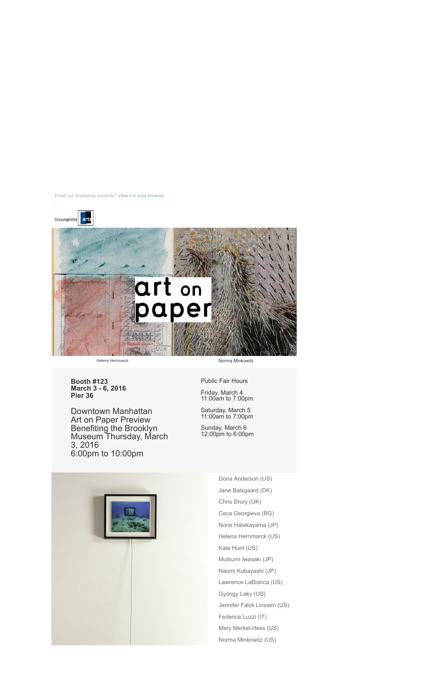



**Booth #123 March 3 - 6, 2016 Pier 36**

Downtown Manhattan Art on Paper Preview Benefiting the Brooklyn Museum Thursday, March 3, 2016 6:00pm to 10:00pm

Public Fair Hours

Friday, March 4 11:00am to 7:00pm

Saturday, March 5 11:00am to 7:00pm

Sunday, March 6 12:00pm to 6:00pm



Dona Anderson (US) Jane Balsgaard (DK) Chris Drury (UK) Ceca Georgieva (BG) Norie Hatekayama (JP) Helena Hernmarck (US) Kate Hunt (US) Mutsumi Iwasaki (JP) Naomi Kobayashi (JP) Lawrence LaBianca (US) Gyöngy Laky (US) Jennifer Falck Linssen (US) Federica Luzzi (IT) Mary Merkel-Hess (US) Norma Minkowitz (US)